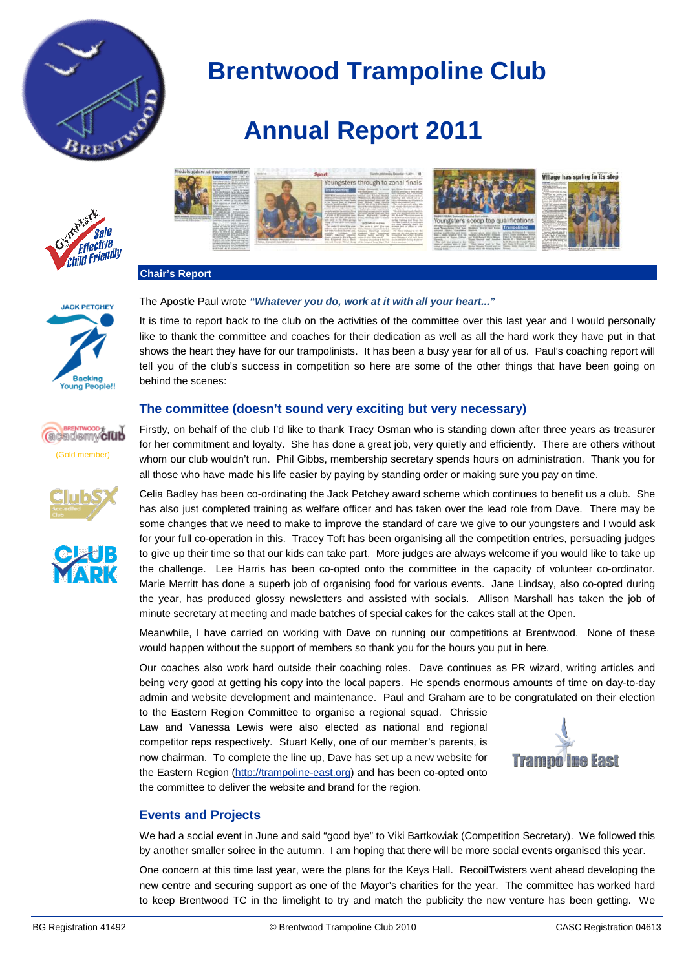

# **Annual Report 2011**





#### **Chair's Report**

#### The Apostle Paul wrote *"Whatever you do, work at it with all your heart..."*

It is time to report back to the club on the activities of the committee over this last year and I would personally like to thank the committee and coaches for their dedication as well as all the hard work they have put in that shows the heart they have for our trampolinists. It has been a busy year for all of us. Paul's coaching report will tell you of the club's success in competition so here are some of the other things that have been going on behind the scenes:

### **The committee (doesn't sound very exciting but very necessary)**

Firstly, on behalf of the club I'd like to thank Tracy Osman who is standing down after three years as treasurer for her commitment and loyalty. She has done a great job, very quietly and efficiently. There are others without whom our club wouldn't run. Phil Gibbs, membership secretary spends hours on administration. Thank you for all those who have made his life easier by paying by standing order or making sure you pay on time.

Celia Badley has been co-ordinating the Jack Petchey award scheme which continues to benefit us a club. She has also just completed training as welfare officer and has taken over the lead role from Dave. There may be some changes that we need to make to improve the standard of care we give to our youngsters and I would ask for your full co-operation in this. Tracey Toft has been organising all the competition entries, persuading judges to give up their time so that our kids can take part. More judges are always welcome if you would like to take up the challenge. Lee Harris has been co-opted onto the committee in the capacity of volunteer co-ordinator. Marie Merritt has done a superb job of organising food for various events. Jane Lindsay, also co-opted during the year, has produced glossy newsletters and assisted with socials. Allison Marshall has taken the job of minute secretary at meeting and made batches of special cakes for the cakes stall at the Open.

Meanwhile, I have carried on working with Dave on running our competitions at Brentwood. None of these would happen without the support of members so thank you for the hours you put in here.

Our coaches also work hard outside their coaching roles. Dave continues as PR wizard, writing articles and being very good at getting his copy into the local papers. He spends enormous amounts of time on day-to-day admin and website development and maintenance. Paul and Graham are to be congratulated on their election

to the Eastern Region Committee to organise a regional squad. Chrissie Law and Vanessa Lewis were also elected as national and regional competitor reps respectively. Stuart Kelly, one of our member's parents, is now chairman. To complete the line up, Dave has set up a new website for the Eastern Region [\(http://trampoline-east.org\)](http://trampoline-east.org/) and has been co-opted onto the committee to deliver the website and brand for the region.



## **Events and Projects**

We had a social event in June and said "good bye" to Viki Bartkowiak (Competition Secretary). We followed this by another smaller soiree in the autumn. I am hoping that there will be more social events organised this year.

One concern at this time last year, were the plans for the Keys Hall. RecoilTwisters went ahead developing the new centre and securing support as one of the Mayor's charities for the year. The committee has worked hard to keep Brentwood TC in the limelight to try and match the publicity the new venture has been getting. We



Young Peo

niall





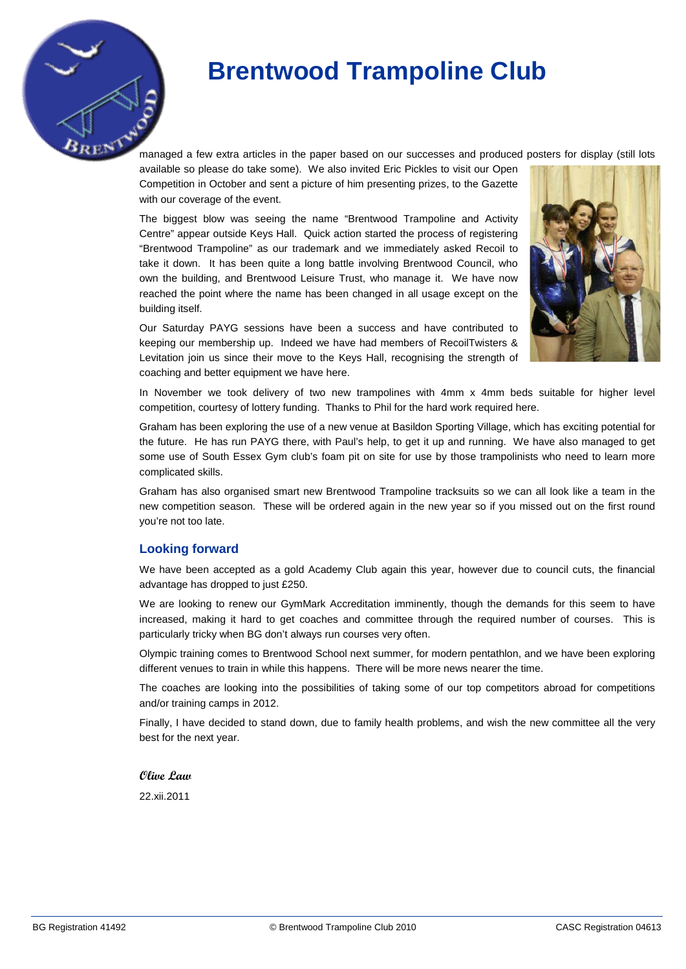managed a few extra articles in the paper based on our successes and produced posters for display (still lots

available so please do take some). We also invited Eric Pickles to visit our Open Competition in October and sent a picture of him presenting prizes, to the Gazette with our coverage of the event.

The biggest blow was seeing the name "Brentwood Trampoline and Activity Centre" appear outside Keys Hall. Quick action started the process of registering "Brentwood Trampoline" as our trademark and we immediately asked Recoil to take it down. It has been quite a long battle involving Brentwood Council, who own the building, and Brentwood Leisure Trust, who manage it. We have now reached the point where the name has been changed in all usage except on the building itself.



Our Saturday PAYG sessions have been a success and have contributed to keeping our membership up. Indeed we have had members of RecoilTwisters & Levitation join us since their move to the Keys Hall, recognising the strength of coaching and better equipment we have here.

In November we took delivery of two new trampolines with 4mm x 4mm beds suitable for higher level competition, courtesy of lottery funding. Thanks to Phil for the hard work required here.

Graham has been exploring the use of a new venue at Basildon Sporting Village, which has exciting potential for the future. He has run PAYG there, with Paul's help, to get it up and running. We have also managed to get some use of South Essex Gym club's foam pit on site for use by those trampolinists who need to learn more complicated skills.

Graham has also organised smart new Brentwood Trampoline tracksuits so we can all look like a team in the new competition season. These will be ordered again in the new year so if you missed out on the first round you're not too late.

### **Looking forward**

We have been accepted as a gold Academy Club again this year, however due to council cuts, the financial advantage has dropped to just £250.

We are looking to renew our GymMark Accreditation imminently, though the demands for this seem to have increased, making it hard to get coaches and committee through the required number of courses. This is particularly tricky when BG don't always run courses very often.

Olympic training comes to Brentwood School next summer, for modern pentathlon, and we have been exploring different venues to train in while this happens. There will be more news nearer the time.

The coaches are looking into the possibilities of taking some of our top competitors abroad for competitions and/or training camps in 2012.

Finally, I have decided to stand down, due to family health problems, and wish the new committee all the very best for the next year.

#### **Olive Law**

22.xii.2011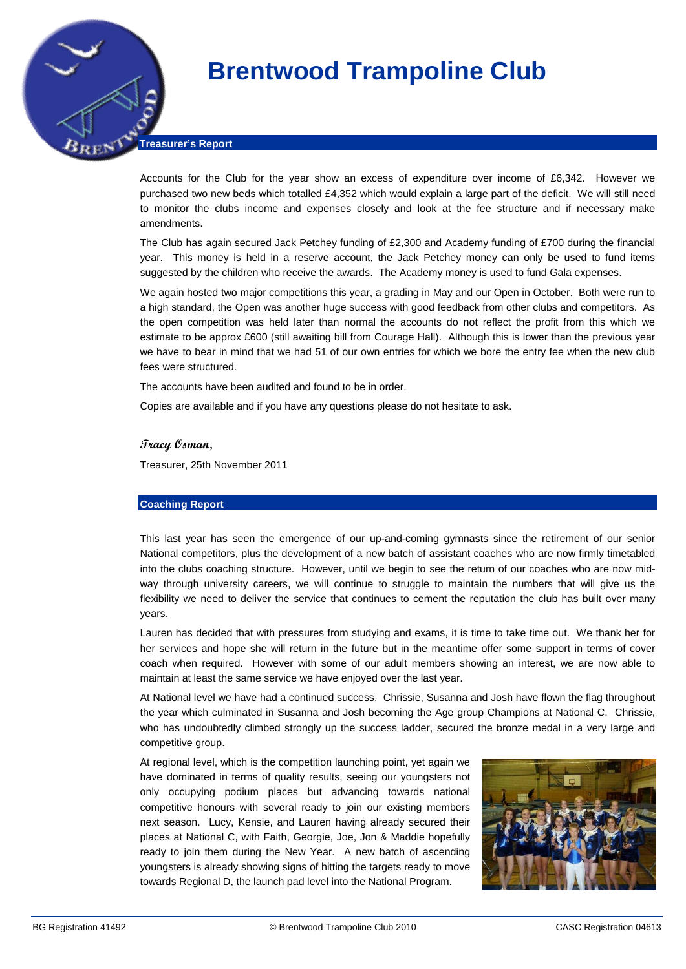**Treasurer's Report**

Accounts for the Club for the year show an excess of expenditure over income of £6,342. However we purchased two new beds which totalled £4,352 which would explain a large part of the deficit. We will still need to monitor the clubs income and expenses closely and look at the fee structure and if necessary make amendments.

The Club has again secured Jack Petchey funding of £2,300 and Academy funding of £700 during the financial year. This money is held in a reserve account, the Jack Petchey money can only be used to fund items suggested by the children who receive the awards. The Academy money is used to fund Gala expenses.

We again hosted two major competitions this year, a grading in May and our Open in October. Both were run to a high standard, the Open was another huge success with good feedback from other clubs and competitors. As the open competition was held later than normal the accounts do not reflect the profit from this which we estimate to be approx £600 (still awaiting bill from Courage Hall). Although this is lower than the previous year we have to bear in mind that we had 51 of our own entries for which we bore the entry fee when the new club fees were structured.

The accounts have been audited and found to be in order.

Copies are available and if you have any questions please do not hesitate to ask.

#### **Tracy Osman,**

Treasurer, 25th November 2011

#### **Coaching Report**

This last year has seen the emergence of our up-and-coming gymnasts since the retirement of our senior National competitors, plus the development of a new batch of assistant coaches who are now firmly timetabled into the clubs coaching structure. However, until we begin to see the return of our coaches who are now midway through university careers, we will continue to struggle to maintain the numbers that will give us the flexibility we need to deliver the service that continues to cement the reputation the club has built over many years.

Lauren has decided that with pressures from studying and exams, it is time to take time out. We thank her for her services and hope she will return in the future but in the meantime offer some support in terms of cover coach when required. However with some of our adult members showing an interest, we are now able to maintain at least the same service we have enjoyed over the last year.

At National level we have had a continued success. Chrissie, Susanna and Josh have flown the flag throughout the year which culminated in Susanna and Josh becoming the Age group Champions at National C. Chrissie, who has undoubtedly climbed strongly up the success ladder, secured the bronze medal in a very large and competitive group.

At regional level, which is the competition launching point, yet again we have dominated in terms of quality results, seeing our youngsters not only occupying podium places but advancing towards national competitive honours with several ready to join our existing members next season. Lucy, Kensie, and Lauren having already secured their places at National C, with Faith, Georgie, Joe, Jon & Maddie hopefully ready to join them during the New Year. A new batch of ascending youngsters is already showing signs of hitting the targets ready to move towards Regional D, the launch pad level into the National Program.